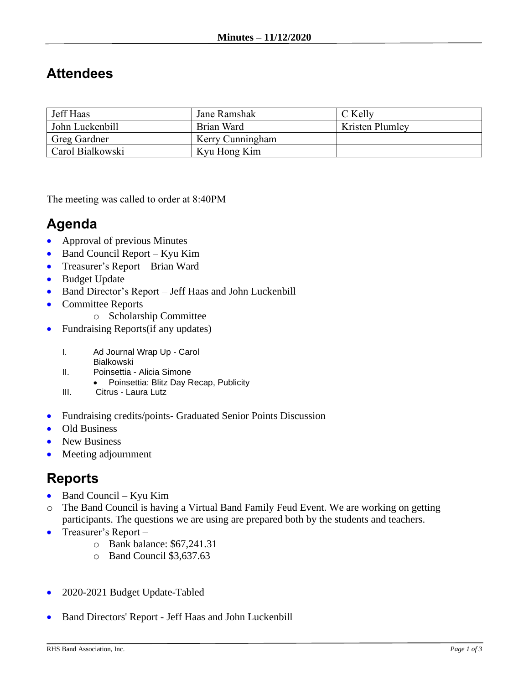## **Attendees**

| Jeff Haas        | Jane Ramshak     | C Kelly         |
|------------------|------------------|-----------------|
| John Luckenbill  | Brian Ward       | Kristen Plumley |
| Greg Gardner     | Kerry Cunningham |                 |
| Carol Bialkowski | Kyu Hong Kim     |                 |

The meeting was called to order at 8:40PM

## **Agenda**

- Approval of previous Minutes
- Band Council Report Kyu Kim
- Treasurer's Report Brian Ward
- Budget Update
- Band Director's Report Jeff Haas and John Luckenbill
- Committee Reports
	- o Scholarship Committee
- Fundraising Reports(if any updates)
	- I. Ad Journal Wrap Up Carol
		- Bialkowski
	- II. Poinsettia Alicia Simone
		- Poinsettia: Blitz Day Recap, Publicity
	- III. Citrus Laura Lutz
- Fundraising credits/points- Graduated Senior Points Discussion
- Old Business
- New Business
- Meeting adjournment

## **Reports**

- Band Council Kyu Kim
- o The Band Council is having a Virtual Band Family Feud Event. We are working on getting participants. The questions we are using are prepared both by the students and teachers.
- Treasurer's Report
	- o Bank balance: \$67,241.31
	- o Band Council \$3,637.63
- 2020-2021 Budget Update-Tabled
- Band Directors' Report Jeff Haas and John Luckenbill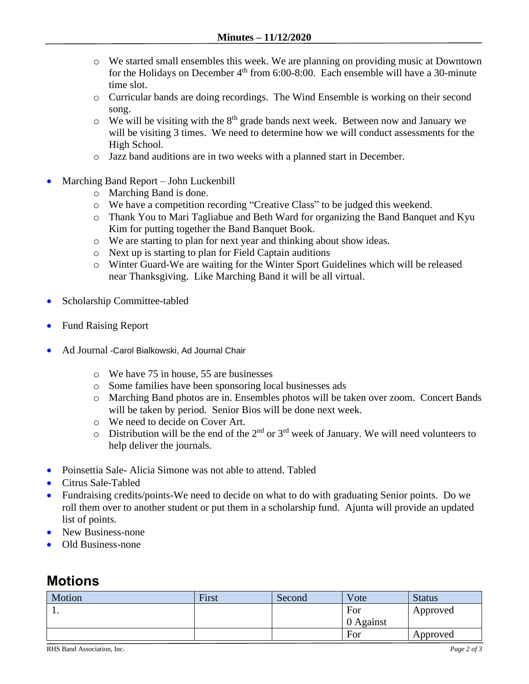- o We started small ensembles this week. We are planning on providing music at Downtown for the Holidays on December  $4<sup>th</sup>$  from 6:00-8:00. Each ensemble will have a 30-minute time slot.
- o Curricular bands are doing recordings. The Wind Ensemble is working on their second song.
- $\circ$  We will be visiting with the 8<sup>th</sup> grade bands next week. Between now and January we will be visiting 3 times. We need to determine how we will conduct assessments for the High School.
- o Jazz band auditions are in two weeks with a planned start in December.
- Marching Band Report John Luckenbill
	- o Marching Band is done.
	- o We have a competition recording "Creative Class" to be judged this weekend.
	- o Thank You to Mari Tagliabue and Beth Ward for organizing the Band Banquet and Kyu Kim for putting together the Band Banquet Book.
	- o We are starting to plan for next year and thinking about show ideas.
	- o Next up is starting to plan for Field Captain auditions
	- o Winter Guard-We are waiting for the Winter Sport Guidelines which will be released near Thanksgiving. Like Marching Band it will be all virtual.
- Scholarship Committee-tabled
- Fund Raising Report
- Ad Journal -Carol Bialkowski, Ad Journal Chair
	- o We have 75 in house, 55 are businesses
	- o Some families have been sponsoring local businesses ads
	- o Marching Band photos are in. Ensembles photos will be taken over zoom. Concert Bands will be taken by period. Senior Bios will be done next week.
	- o We need to decide on Cover Art.
	- $\circ$  Distribution will be the end of the 2<sup>nd</sup> or 3<sup>rd</sup> week of January. We will need volunteers to help deliver the journals.
- Poinsettia Sale- Alicia Simone was not able to attend. Tabled
- Citrus Sale-Tabled
- Fundraising credits/points-We need to decide on what to do with graduating Senior points. Do we roll them over to another student or put them in a scholarship fund. Ajunta will provide an updated list of points.
- New Business-none
- Old Business-none

## **Motions**

| Motion | First | Second | Vote      | <b>Status</b> |
|--------|-------|--------|-----------|---------------|
| . .    |       |        | For       | Approved      |
|        |       |        | 0 Against |               |
|        |       |        | For       | Approved      |

RHS Band Association, Inc. *Page 2 of 3*